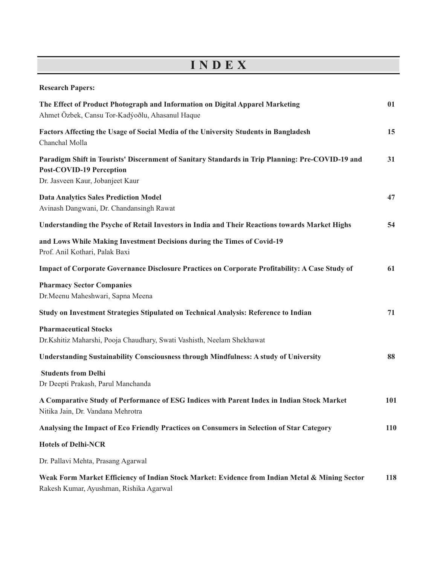## **I N D E X**

| <b>Research Papers:</b>                                                                                                                                                 |     |
|-------------------------------------------------------------------------------------------------------------------------------------------------------------------------|-----|
| The Effect of Product Photograph and Information on Digital Apparel Marketing<br>Ahmet Özbek, Cansu Tor-Kadýoðlu, Ahasanul Haque                                        | 01  |
| Factors Affecting the Usage of Social Media of the University Students in Bangladesh<br>Chanchal Molla                                                                  | 15  |
| Paradigm Shift in Tourists' Discernment of Sanitary Standards in Trip Planning: Pre-COVID-19 and<br><b>Post-COVID-19 Perception</b><br>Dr. Jasveen Kaur, Jobanjeet Kaur | 31  |
| <b>Data Analytics Sales Prediction Model</b><br>Avinash Dangwani, Dr. Chandansingh Rawat                                                                                | 47  |
| Understanding the Psyche of Retail Investors in India and Their Reactions towards Market Highs                                                                          | 54  |
| and Lows While Making Investment Decisions during the Times of Covid-19<br>Prof. Anil Kothari, Palak Baxi                                                               |     |
| Impact of Corporate Governance Disclosure Practices on Corporate Profitability: A Case Study of                                                                         | 61  |
| <b>Pharmacy Sector Companies</b><br>Dr.Meenu Maheshwari, Sapna Meena                                                                                                    |     |
| Study on Investment Strategies Stipulated on Technical Analysis: Reference to Indian                                                                                    | 71  |
| <b>Pharmaceutical Stocks</b><br>Dr.Kshitiz Maharshi, Pooja Chaudhary, Swati Vashisth, Neelam Shekhawat                                                                  |     |
| <b>Understanding Sustainability Consciousness through Mindfulness: A study of University</b>                                                                            | 88  |
| <b>Students from Delhi</b><br>Dr Deepti Prakash, Parul Manchanda                                                                                                        |     |
| A Comparative Study of Performance of ESG Indices with Parent Index in Indian Stock Market<br>Nitika Jain, Dr. Vandana Mehrotra                                         | 101 |
| Analysing the Impact of Eco Friendly Practices on Consumers in Selection of Star Category                                                                               | 110 |
| <b>Hotels of Delhi-NCR</b>                                                                                                                                              |     |
| Dr. Pallavi Mehta, Prasang Agarwal                                                                                                                                      |     |
| Weak Form Market Efficiency of Indian Stock Market: Evidence from Indian Metal & Mining Sector<br>Rakesh Kumar, Ayushman, Rishika Agarwal                               | 118 |